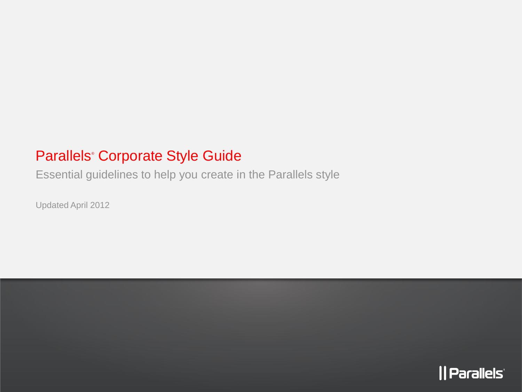### Parallels® Corporate Style Guide

Essential guidelines to help you create in the Parallels style

Updated April 2012

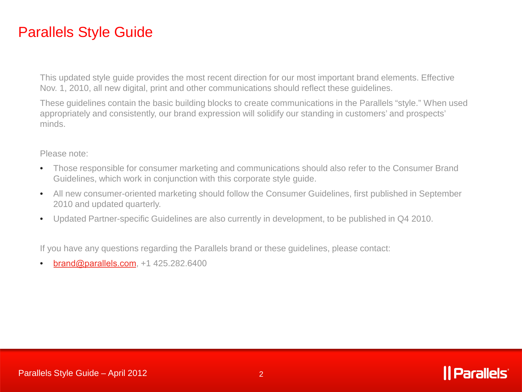### Parallels Style Guide

This updated style guide provides the most recent direction for our most important brand elements. Effective Nov. 1, 2010, all new digital, print and other communications should reflect these guidelines.

These guidelines contain the basic building blocks to create communications in the Parallels "style." When used appropriately and consistently, our brand expression will solidify our standing in customers' and prospects' minds.

#### Please note:

- Those responsible for consumer marketing and communications should also refer to the Consumer Brand Guidelines, which work in conjunction with this corporate style guide.
- All new consumer-oriented marketing should follow the Consumer Guidelines, first published in September 2010 and updated quarterly.
- Updated Partner-specific Guidelines are also currently in development, to be published in Q4 2010.

If you have any questions regarding the Parallels brand or these guidelines, please contact:

• [brand@parallels.com](mailto:brand@parallels.com), +1 425.282.6400

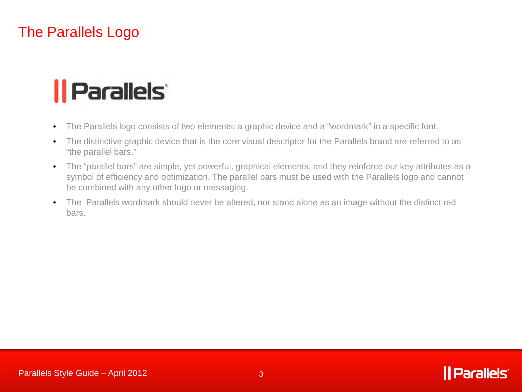### The Parallels Logo

# *|| Parallels*

- The Parallels logo consists of two elements: a graphic device and a "wordmark" in a specific font.
- The distinctive graphic device that is the core visual descriptor for the Parallels brand are referred to as "the parallel bars."
- The "parallel bars" are simple, yet powerful, graphical elements, and they reinforce our key attributes as a symbol of efficiency and optimization. The parallel bars must be used with the Parallels logo and cannot be combined with any other logo or messaging.
- The Parallels wordmark should never be altered, nor stand alone as an image without the distinct red bars.

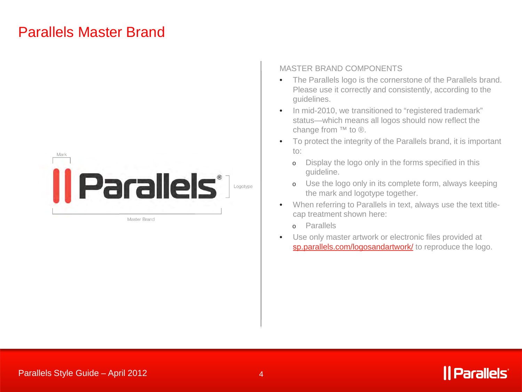### Parallels Master Brand



Master Brand

#### MASTER BRAND COMPONENTS

- The Parallels logo is the cornerstone of the Parallels brand. Please use it correctly and consistently, according to the guidelines.
- In mid-2010, we transitioned to "registered trademark" status—which means all logos should now reflect the change from ™ to ®.
- To protect the integrity of the Parallels brand, it is important to:
	- o Display the logo only in the forms specified in this guideline.
	- o Use the logo only in its complete form, always keeping the mark and logotype together.
- When referring to Parallels in text, always use the text titlecap treatment shown here:
	- o Parallels
- Use only master artwork or electronic files provided at sp[.parallels.com/logosandartwork/](http://sp.parallels.com/logosandartwork/) to reproduce the logo.

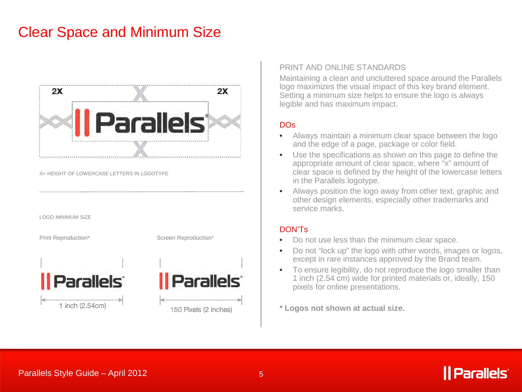### Clear Space and Minimum Size



X= HEIGHT OF LOWERCASE LETTERS IN LOGOTYPE







#### PRINT AND ONLINE STANDARDS

Maintaining a clean and uncluttered space around the Parallels logo maximizes the visual impact of this key brand element. Setting a minimum size helps to ensure the logo is always legible and has maximum impact.

### DOs

- Always maintain a minimum clear space between the logo and the edge of a page, package or color field.
- Use the specifications as shown on this page to define the appropriate amount of clear space, where "x" amount of clear space is defined by the height of the lowercase letters in the Parallels logotype.
- Always position the logo away from other text, graphic and other design elements, especially other trademarks and service marks.

#### DON'Ts

- Do not use less than the minimum clear space.
- Do not "lock up" the logo with other words, images or logos, except in rare instances approved by the Brand team.
- To ensure legibility, do not reproduce the logo smaller than 1 inch (2.54 cm) wide for printed materials or, ideally, 150 pixels for online presentations.

**\* Logos not shown at actual size.**

### | Parallels<sup>®</sup>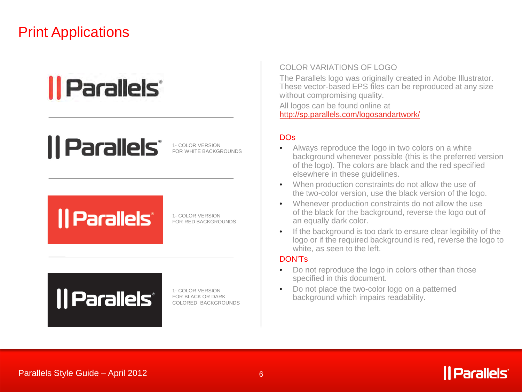### Print Applications

## *|| Parallels*

## *|| Parallels\**

1- COLOR VERSION FOR WHITE BACKGROUNDS

## *|| Parallels*

1- COLOR VERSION FOR RED BACKGROUNDS

## *|| Parallels*

1- COLOR VERSION FOR BLACK OR DARK COLORED BACKGROUNDS

#### COLOR VARIATIONS OF LOGO

The Parallels logo was originally created in Adobe Illustrator. These vector-based EPS files can be reproduced at any size without compromising quality.

All logos can be found online at http://sp[.parallels.com/logosandartwork/](http://sp.parallels.com/logosandartwork/)

### **DOs**

- Always reproduce the logo in two colors on a white background whenever possible (this is the preferred version of the logo). The colors are black and the red specified elsewhere in these guidelines.
- When production constraints do not allow the use of the two-color version, use the black version of the logo.
- Whenever production constraints do not allow the use of the black for the background, reverse the logo out of an equally dark color.
- If the background is too dark to ensure clear legibility of the logo or if the required background is red, reverse the logo to white, as seen to the left.

#### DON'Ts

- Do not reproduce the logo in colors other than those specified in this document.
- Do not place the two-color logo on a patterned background which impairs readability.

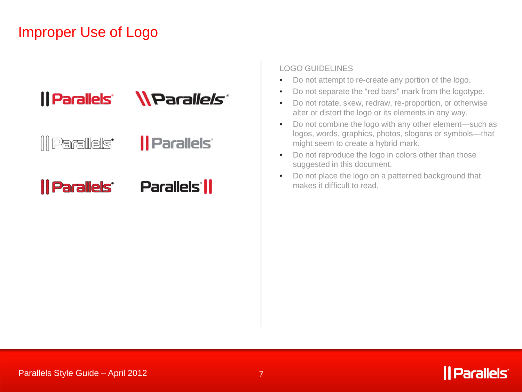### Improper Use of Logo



*Il Parallels* ||| Parallels'

### *|| Parallels'* **Parallels ||**

### LOGO GUIDELINES

- Do not attempt to re-create any portion of the logo.
- Do not separate the "red bars" mark from the logotype.
- Do not rotate, skew, redraw, re-proportion, or otherwise alter or distort the logo or its elements in any way.
- Do not combine the logo with any other element—such as logos, words, graphics, photos, slogans or symbols—that might seem to create a hybrid mark.
- Do not reproduce the logo in colors other than those suggested in this document.
- Do not place the logo on a patterned background that makes it difficult to read.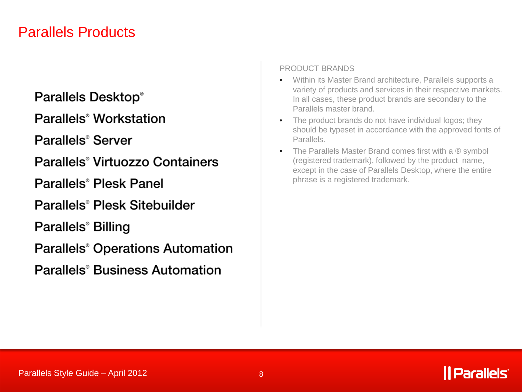### Parallels Products

### **Parallels Desktop®**

Parallels<sup>®</sup> Workstation

Parallels<sup>®</sup> Server

Parallels<sup>®</sup> Virtuozzo Containers

Parallels<sup>®</sup> Plesk Panel

Parallels<sup>®</sup> Plesk Sitebuilder

Parallels<sup>®</sup> Billing

**Parallels<sup>®</sup>** Operations Automation

**Parallels<sup>®</sup> Business Automation** 

### PRODUCT BRANDS

- Within its Master Brand architecture, Parallels supports a variety of products and services in their respective markets. In all cases, these product brands are secondary to the Parallels master brand.
- The product brands do not have individual logos; they should be typeset in accordance with the approved fonts of Parallels.
- The Parallels Master Brand comes first with a  $\mathcal{R}$  symbol (registered trademark), followed by the product name, except in the case of Parallels Desktop, where the entire phrase is a registered trademark.

### **Parallels**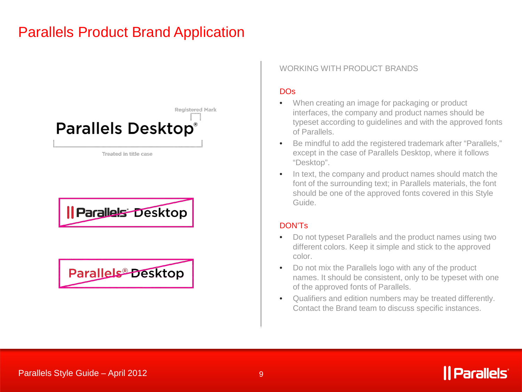### Parallels Product Brand Application







### WORKING WITH PRODUCT BRANDS

### DOs

- When creating an image for packaging or product interfaces, the company and product names should be typeset according to guidelines and with the approved fonts of Parallels.
- Be mindful to add the registered trademark after "Parallels," except in the case of Parallels Desktop, where it follows "Desktop".
- In text, the company and product names should match the font of the surrounding text; in Parallels materials, the font should be one of the approved fonts covered in this Style Guide.

### DON'Ts

- Do not typeset Parallels and the product names using two different colors. Keep it simple and stick to the approved color.
- Do not mix the Parallels logo with any of the product names. It should be consistent, only to be typeset with one of the approved fonts of Parallels.
- Qualifiers and edition numbers may be treated differently. Contact the Brand team to discuss specific instances.

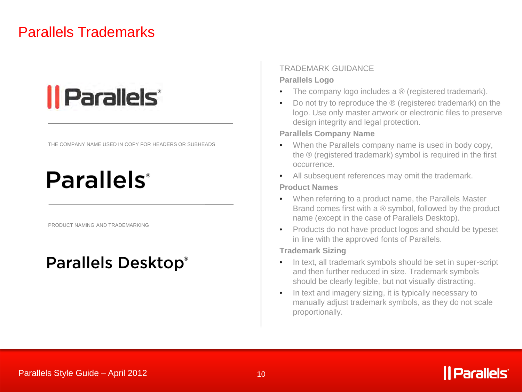### Parallels Trademarks

# *|| Parallels*

THE COMPANY NAME USED IN COPY FOR HEADERS OR SUBHEADS

## **Parallels**<sup>®</sup>

PRODUCT NAMING AND TRADEMARKING

### **Parallels Desktop®**

### TRADEMARK GUIDANCE

#### **Parallels Logo**

- The company logo includes a ® (registered trademark).
- Do not try to reproduce the ® (registered trademark) on the logo. Use only master artwork or electronic files to preserve design integrity and legal protection.

#### **Parallels Company Name**

- When the Parallels company name is used in body copy, the ® (registered trademark) symbol is required in the first occurrence.
- All subsequent references may omit the trademark.

#### **Product Names**

- When referring to a product name, the Parallels Master Brand comes first with a ® symbol, followed by the product name (except in the case of Parallels Desktop).
- Products do not have product logos and should be typeset in line with the approved fonts of Parallels.

#### **Trademark Sizing**

- In text, all trademark symbols should be set in super-script and then further reduced in size. Trademark symbols should be clearly legible, but not visually distracting.
- In text and imagery sizing, it is typically necessary to manually adjust trademark symbols, as they do not scale proportionally.

### Parallels Style Guide – April 2012

## *Parallels*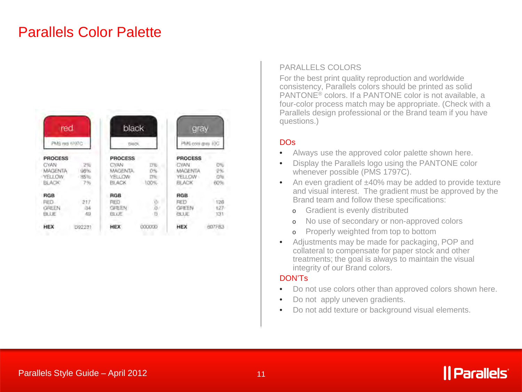### Parallels Color Palette

| red<br>PMS red 1707C  |                 | black<br>THIS 78.         |                  | gray<br>PMS coisi grey 10G |                   |
|-----------------------|-----------------|---------------------------|------------------|----------------------------|-------------------|
|                       |                 |                           |                  |                            |                   |
| <b>RGB</b>            |                 | <b>RGB</b>                |                  | RGB                        |                   |
| RED.<br>GREEN<br>BUJE | 217<br>34<br>49 | <b>RED</b><br>GREEN<br>日日 | w<br>$\cdot$ (). | RED<br>GREEN<br>BLUE       | 126<br>127<br>131 |
| <b>HEX</b>            | D92231          | <b>HEX</b>                | <b>OCXOCKED</b>  | HEX                        | 807FB3            |

#### PARALLELS COLORS

For the best print quality reproduction and worldwide consistency, Parallels colors should be printed as solid PANTONE® colors. If a PANTONE color is not available, a four-color process match may be appropriate. (Check with a Parallels design professional or the Brand team if you have questions.)

#### DOs

- Always use the approved color palette shown here.
- Display the Parallels logo using the PANTONE color whenever possible (PMS 1797C).
- An even gradient of ±40% may be added to provide texture and visual interest. The gradient must be approved by the Brand team and follow these specifications:
	- o Gradient is evenly distributed
	- o No use of secondary or non-approved colors
	- o Properly weighted from top to bottom
- Adjustments may be made for packaging, POP and collateral to compensate for paper stock and other treatments; the goal is always to maintain the visual integrity of our Brand colors.

#### DON'Ts

- Do not use colors other than approved colors shown here.
- Do not apply uneven gradients.
- Do not add texture or background visual elements.